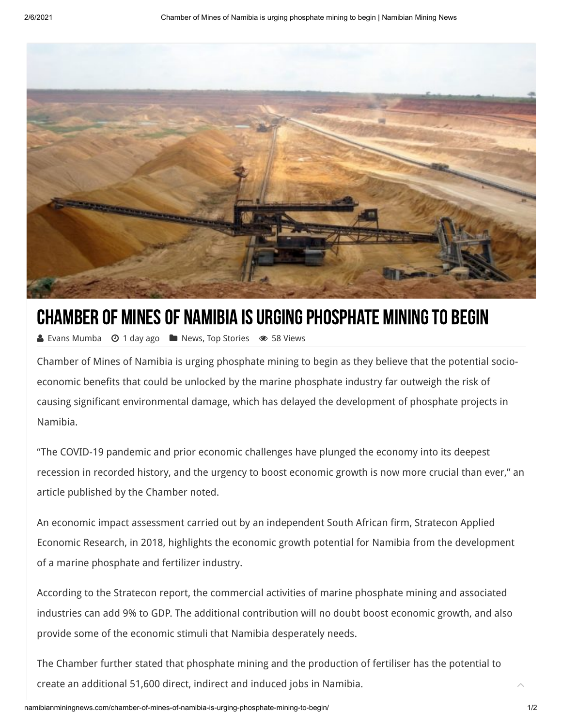

## CHAMBER OF MINES OF NAMIBIA IS URGING PHOSPHATE MINING TO BEGIN

▲ [Evans Mumba](http://namibianminingnews.com/author/mti_08/) ⊙ 1 day ago ■ [News,](http://namibianminingnews.com/category/news/) [Top Stories](http://namibianminingnews.com/category/top-stories/) ● 58 Views

Chamber of Mines of Namibia is urging phosphate mining to begin as they believe that the potential socioeconomic benefits that could be unlocked by the marine phosphate industry far outweigh the risk of causing significant environmental damage, which has delayed the development of phosphate projects in Namibia.

"The COVID-19 pandemic and prior economic challenges have plunged the economy into its deepest recession in recorded history, and the urgency to boost economic growth is now more crucial than ever," an article published by the Chamber noted.

An economic impact assessment carried out by an independent South African firm, Stratecon Applied Economic Research, in 2018, highlights the economic growth potential for Namibia from the development of a marine phosphate and fertilizer industry.

According to the Stratecon report, the commercial activities of marine phosphate mining and associated industries can add 9% to GDP. The additional contribution will no doubt boost economic growth, and also provide some of the economic stimuli that Namibia desperately needs.

The Chamber further stated that phosphate mining and the production of fertiliser has the potential to create an additional 51,600 direct, indirect and induced jobs in Namibia.